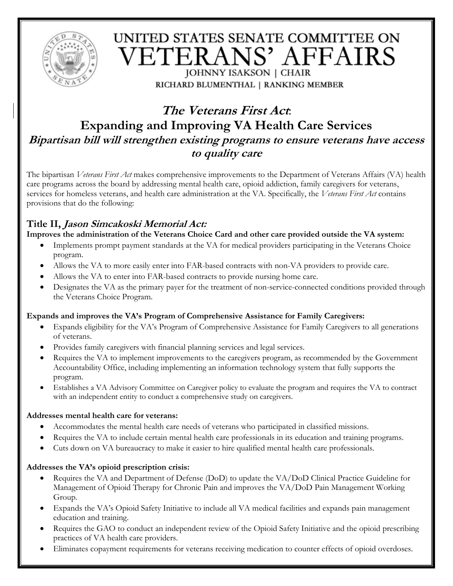

# UNITED STATES SENATE COMMITTEE ON ETERANS' AFFAIRS JOHNNY ISAKSON | CHAIR

RICHARD BLUMENTHAL | RANKING MEMBER

# **The Veterans First Act**: **Expanding and Improving VA Health Care Services Bipartisan bill will strengthen existing programs to ensure veterans have access to quality care**

The bipartisan *Veterans First Act* makes comprehensive improvements to the Department of Veterans Affairs (VA) health care programs across the board by addressing mental health care, opioid addiction, family caregivers for veterans, services for homeless veterans, and health care administration at the VA. Specifically, the *Veterans First Act* contains provisions that do the following:

# **Title II, Jason Simcakoski Memorial Act:**

**Improves the administration of the Veterans Choice Card and other care provided outside the VA system:**

- Implements prompt payment standards at the VA for medical providers participating in the Veterans Choice program.
- Allows the VA to more easily enter into FAR-based contracts with non-VA providers to provide care.
- Allows the VA to enter into FAR-based contracts to provide nursing home care.
- Designates the VA as the primary payer for the treatment of non-service-connected conditions provided through the Veterans Choice Program.

## **Expands and improves the VA's Program of Comprehensive Assistance for Family Caregivers:**

- Expands eligibility for the VA's Program of Comprehensive Assistance for Family Caregivers to all generations of veterans.
- Provides family caregivers with financial planning services and legal services.
- Requires the VA to implement improvements to the caregivers program, as recommended by the Government Accountability Office, including implementing an information technology system that fully supports the program.
- Establishes a VA Advisory Committee on Caregiver policy to evaluate the program and requires the VA to contract with an independent entity to conduct a comprehensive study on caregivers.

## **Addresses mental health care for veterans:**

- Accommodates the mental health care needs of veterans who participated in classified missions.
- Requires the VA to include certain mental health care professionals in its education and training programs.
- Cuts down on VA bureaucracy to make it easier to hire qualified mental health care professionals.

## **Addresses the VA's opioid prescription crisis:**

- Requires the VA and Department of Defense (DoD) to update the VA/DoD Clinical Practice Guideline for Management of Opioid Therapy for Chronic Pain and improves the VA/DoD Pain Management Working Group.
- Expands the VA's Opioid Safety Initiative to include all VA medical facilities and expands pain management education and training.
- Requires the GAO to conduct an independent review of the Opioid Safety Initiative and the opioid prescribing practices of VA health care providers.
- Eliminates copayment requirements for veterans receiving medication to counter effects of opioid overdoses.